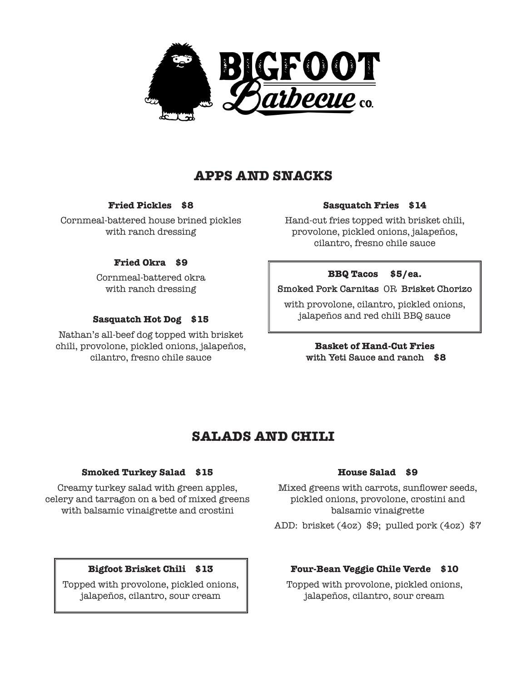

# **APPS AND SNACKS**

## **Fried Pickles \$8**

Cornmeal-battered house brined pickles with ranch dressing

## **Fried Okra \$9**

Cornmeal-battered okra with ranch dressing

## **Sasquatch Hot Dog \$15**

Nathan's all-beef dog topped with brisket chili, provolone, pickled onions, jalapeños, cilantro, fresno chile sauce

### **Sasquatch Fries \$14**

Hand-cut fries topped with brisket chili, provolone, pickled onions, jalapeños, cilantro, fresno chile sauce

### **BBQ Tacos \$5/ea.**

**Smoked Pork Carnitas** OR **Brisket Chorizo**

with provolone, cilantro, pickled onions, jalapeños and red chili BBQ sauce

## **Basket of Hand-Cut Fries with Yeti Sauce and ranch \$8**

# **SALADS AND CHILI**

#### **House Salad \$9**

Mixed greens with carrots, sunflower seeds, pickled onions, provolone, crostini and balsamic vinaigrette

ADD: brisket (4oz) \$9; pulled pork (4oz) \$7

## **Four-Bean Veggie Chile Verde \$10**

Topped with provolone, pickled onions, jalapeños, cilantro, sour cream

## **Smoked Turkey Salad \$15**

Creamy turkey salad with green apples, celery and tarragon on a bed of mixed greens with balsamic vinaigrette and crostini

## **Bigfoot Brisket Chili \$13**

Topped with provolone, pickled onions, jalapeños, cilantro, sour cream